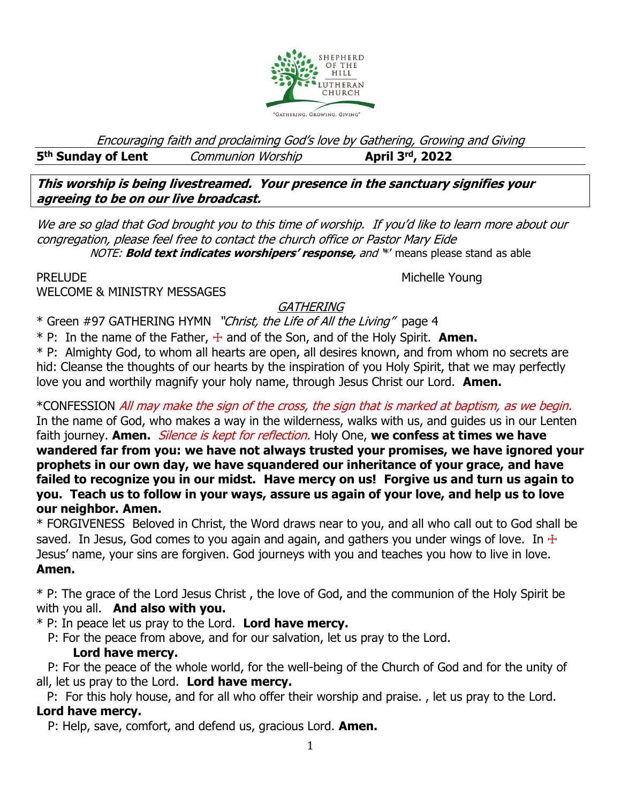

Encouraging faith and proclaiming God's love by Gathering, Growing and Giving

5<sup>th</sup> Sunday of Lent **th Sunday of Lent** Communion Worship **April 3rd, 2022**

**This worship is being livestreamed. Your presence in the sanctuary signifies your agreeing to be on our live broadcast.** 

We are so glad that God brought you to this time of worship. If you'd like to learn more about our congregation, please feel free to contact the church office or Pastor Mary Eide NOTE: **Bold text indicates worshipers' response,** and '\*' means please stand as able

PRELUDE **Example 2018** The Michelle Young 1999 The Michelle Young 1999 The Michelle Young 1999 The Michelle Young

WELCOME & MINISTRY MESSAGES

**GATHERING** 

\* Green #97 GATHERING HYMN "Christ, the Life of All the Living" page 4

\* P: In the name of the Father, ☩ and of the Son, and of the Holy Spirit. **Amen.**

\* P: Almighty God, to whom all hearts are open, all desires known, and from whom no secrets are hid: Cleanse the thoughts of our hearts by the inspiration of you Holy Spirit, that we may perfectly love you and worthily magnify your holy name, through Jesus Christ our Lord. **Amen.** 

\*CONFESSION All may make the sign of the cross, the sign that is marked at baptism, as we begin. In the name of God, who makes a way in the wilderness, walks with us, and guides us in our Lenten faith journey. **Amen.** Silence is kept for reflection. Holy One, **we confess at times we have wandered far from you: we have not always trusted your promises, we have ignored your prophets in our own day, we have squandered our inheritance of your grace, and have failed to recognize you in our midst. Have mercy on us! Forgive us and turn us again to you. Teach us to follow in your ways, assure us again of your love, and help us to love our neighbor. Amen.**

\* FORGIVENESS Beloved in Christ, the Word draws near to you, and all who call out to God shall be saved. In Jesus, God comes to you again and again, and gathers you under wings of love. In  $\pm$ Jesus' name, your sins are forgiven. God journeys with you and teaches you how to live in love. **Amen.**

\* P: The grace of the Lord Jesus Christ , the love of God, and the communion of the Holy Spirit be with you all. **And also with you.**

\* P: In peace let us pray to the Lord. **Lord have mercy.**

P: For the peace from above, and for our salvation, let us pray to the Lord.

## **Lord have mercy.**

 P: For the peace of the whole world, for the well-being of the Church of God and for the unity of all, let us pray to the Lord. **Lord have mercy.** 

P: For this holy house, and for all who offer their worship and praise. , let us pray to the Lord. **Lord have mercy.**

P: Help, save, comfort, and defend us, gracious Lord. **Amen.**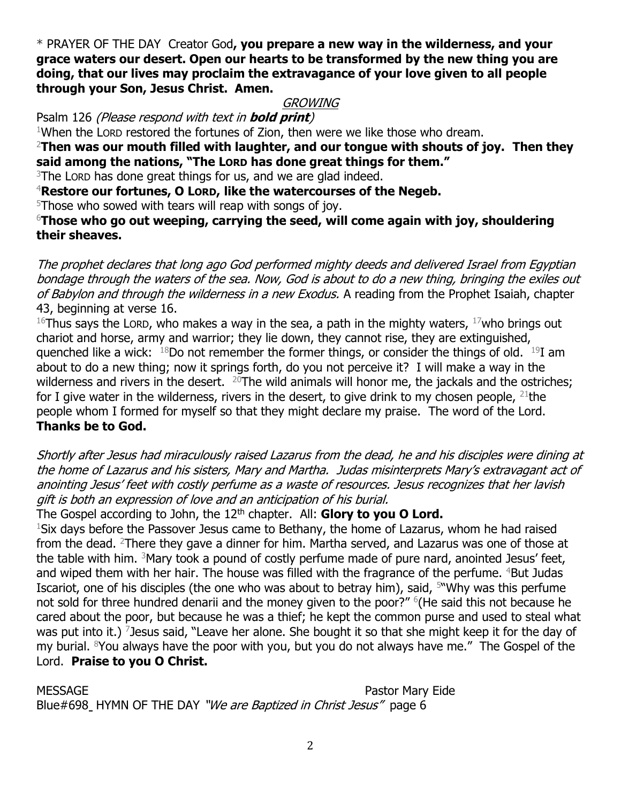\* PRAYER OF THE DAY Creator God**, you prepare a new way in the wilderness, and your grace waters our desert. Open our hearts to be transformed by the new thing you are doing, that our lives may proclaim the extravagance of your love given to all people through your Son, Jesus Christ. Amen.**

## **GROWING**

Psalm 126 (Please respond with text in **bold print**)

 $1$ When the Lorp restored the fortunes of Zion, then were we like those who dream.

<sup>2</sup>**Then was our mouth filled with laughter, and our tongue with shouts of joy. Then they said among the nations, "The LORD has done great things for them."**

 $3$ The Lord has done great things for us, and we are glad indeed.

<sup>4</sup>**Restore our fortunes, O LORD, like the watercourses of the Negeb.**

<sup>5</sup>Those who sowed with tears will reap with songs of joy.

<sup>6</sup>**Those who go out weeping, carrying the seed, will come again with joy, shouldering their sheaves.**

The prophet declares that long ago God performed mighty deeds and delivered Israel from Egyptian bondage through the waters of the sea. Now, God is about to do a new thing, bringing the exiles out of Babylon and through the wilderness in a new Exodus. A reading from the Prophet Isaiah, chapter 43, beginning at verse 16.

 $^{16}$ Thus says the Lorp, who makes a way in the sea, a path in the mighty waters,  $^{17}$ who brings out chariot and horse, army and warrior; they lie down, they cannot rise, they are extinguished, quenched like a wick:  $18$ Do not remember the former things, or consider the things of old.  $19$ I am about to do a new thing; now it springs forth, do you not perceive it? I will make a way in the wilderness and rivers in the desert.  $20$ The wild animals will honor me, the jackals and the ostriches; for I give water in the wilderness, rivers in the desert, to give drink to my chosen people,  $21$ the people whom I formed for myself so that they might declare my praise. The word of the Lord. **Thanks be to God.**

Shortly after Jesus had miraculously raised Lazarus from the dead, he and his disciples were dining at the home of Lazarus and his sisters, Mary and Martha. Judas misinterprets Mary's extravagant act of anointing Jesus' feet with costly perfume as a waste of resources. Jesus recognizes that her lavish gift is both an expression of love and an anticipation of his burial.

The Gospel according to John, the 12<sup>th</sup> chapter. All: **Glory to you O Lord.** 

 $1$ Six days before the Passover Jesus came to Bethany, the home of Lazarus, whom he had raised from the dead. <sup>2</sup>There they gave a dinner for him. Martha served, and Lazarus was one of those at the table with him. <sup>3</sup>Mary took a pound of costly perfume made of pure nard, anointed Jesus' feet, and wiped them with her hair. The house was filled with the fragrance of the perfume.  $4$ But Judas Iscariot, one of his disciples (the one who was about to betray him), said,  $5$  Why was this perfume not sold for three hundred denarii and the money given to the poor?" <sup>6</sup> (He said this not because he cared about the poor, but because he was a thief; he kept the common purse and used to steal what was put into it.) <sup>7</sup> Jesus said, "Leave her alone. She bought it so that she might keep it for the day of my burial. <sup>8</sup>You always have the poor with you, but you do not always have me." The Gospel of the Lord. **Praise to you O Christ.**

MESSAGE Pastor Mary Eide [Blue#698](https://members.sundaysandseasons.com/Music/Index/2021-1-31/2182) HYMN OF THE DAY "We are Baptized in Christ Jesus" page 6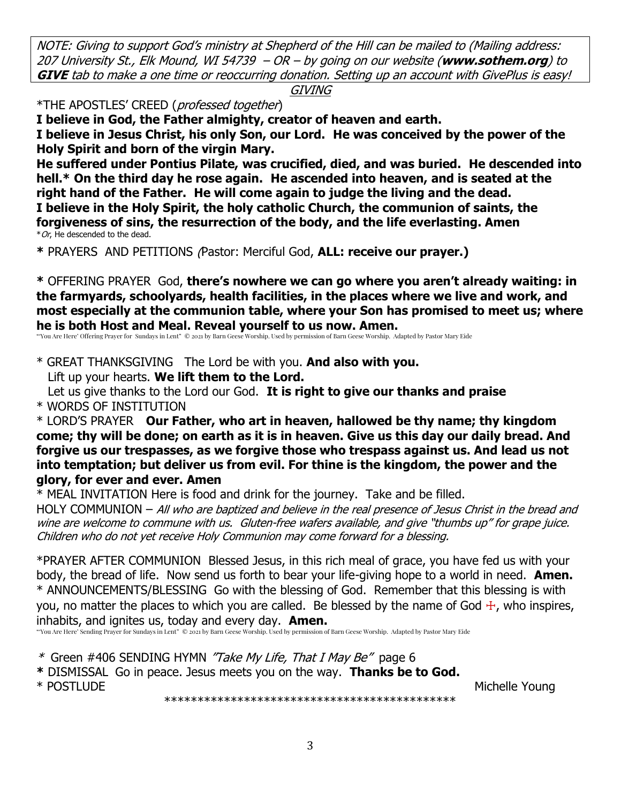NOTE: Giving to support God's ministry at Shepherd of the Hill can be mailed to (Mailing address: 207 University St., Elk Mound, WI 54739 – OR – by going on our website (**www.sothem.org**) to **GIVE** tab to make a one time or reoccurring donation. Setting up an account with GivePlus is easy!

GIVING

\*THE APOSTLES' CREED (professed together)

**I believe in God, the Father almighty, creator of heaven and earth.**

**I believe in Jesus Christ, his only Son, our Lord. He was conceived by the power of the Holy Spirit and born of the virgin Mary.**

**He suffered under Pontius Pilate, was crucified, died, and was buried. He descended into hell.\* On the third day he rose again. He ascended into heaven, and is seated at the right hand of the Father. He will come again to judge the living and the dead. I believe in the Holy Spirit, the holy catholic Church, the communion of saints, the forgiveness of sins, the resurrection of the body, and the life everlasting. Amen**  $*$  Or, He descended to the dead.

**\*** PRAYERS AND PETITIONS (Pastor: Merciful God, **ALL: receive our prayer.)**

**\*** OFFERING PRAYERGod, **there's nowhere we can go where you aren't already waiting: in the farmyards, schoolyards, health facilities, in the places where we live and work, and most especially at the communion table, where your Son has promised to meet us; where he is both Host and Meal. Reveal yourself to us now. Amen.**<br>"You Are Here' Offering Prayer for Sundays in Lent" © 2021 by Barn Geese Worship. Used by permission of Barn Geese Worship. Adapted by Pastor Mary Eide

\* GREAT THANKSGIVING The Lord be with you. **And also with you.**

Lift up your hearts. **We lift them to the Lord.**

 Let us give thanks to the Lord our God. **It is right to give our thanks and praise** \* WORDS OF INSTITUTION

\* LORD'S PRAYER **Our Father, who art in heaven, hallowed be thy name; thy kingdom come; thy will be done; on earth as it is in heaven. Give us this day our daily bread. And forgive us our trespasses, as we forgive those who trespass against us. And lead us not into temptation; but deliver us from evil. For thine is the kingdom, the power and the glory, for ever and ever. Amen**

\* MEAL INVITATION Here is food and drink for the journey. Take and be filled.

HOLY COMMUNION – All who are baptized and believe in the real presence of Jesus Christ in the bread and wine are welcome to commune with us. Gluten-free wafers available, and give "thumbs up" for grape juice. Children who do not yet receive Holy Communion may come forward for a blessing.

\*PRAYER AFTER COMMUNION Blessed Jesus, in this rich meal of grace, you have fed us with your body, the bread of life. Now send us forth to bear your life-giving hope to a world in need. **Amen.** \* ANNOUNCEMENTS/BLESSING Go with the blessing of God. Remember that this blessing is with you, no matter the places to which you are called. Be blessed by the name of God  $+$ , who inspires, inhabits, and ignites us, today and every day. **Amen.** 

"'You Are Here' Sending Prayer for Sundays in Lent" © 2021 by Barn Geese Worship. Used by permission of Barn Geese Worship. Adapted by Pastor Mary Eide

\* [Green #406](https://members.sundaysandseasons.com/Music/Index/2021-1-31/2182) SENDING HYMN "Take My Life, That I May Be" page 6

**\*** DISMISSALGo in peace. Jesus meets you on the way. **Thanks be to God.** \* POSTLUDE Michelle Young

\*\*\*\*\*\*\*\*\*\*\*\*\*\*\*\*\*\*\*\*\*\*\*\*\*\*\*\*\*\*\*\*\*\*\*\*\*\*\*\*\*\*\*\*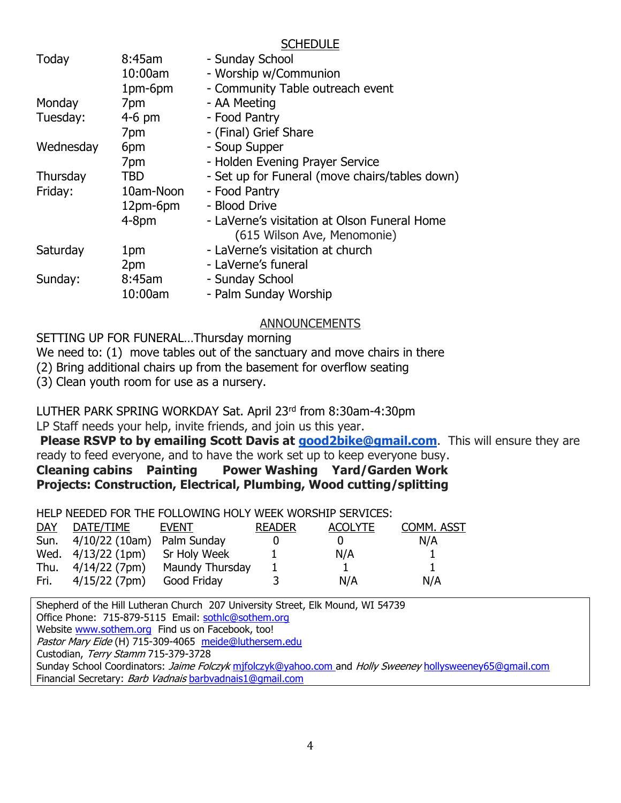**SCHEDULE** 

| Today     | 8:45am     | - Sunday School                                |  |  |
|-----------|------------|------------------------------------------------|--|--|
|           | 10:00am    | - Worship w/Communion                          |  |  |
|           | 1pm-6pm    | - Community Table outreach event               |  |  |
| Monday    | 7pm        | - AA Meeting                                   |  |  |
| Tuesday:  | $4-6$ pm   | - Food Pantry                                  |  |  |
|           | 7pm        | - (Final) Grief Share                          |  |  |
| Wednesday | 6pm        | - Soup Supper                                  |  |  |
|           | 7pm        | - Holden Evening Prayer Service                |  |  |
| Thursday  | <b>TBD</b> | - Set up for Funeral (move chairs/tables down) |  |  |
| Friday:   | 10am-Noon  | - Food Pantry                                  |  |  |
|           | 12pm-6pm   | - Blood Drive                                  |  |  |
|           | $4-8pm$    | - LaVerne's visitation at Olson Funeral Home   |  |  |
|           |            | (615 Wilson Ave, Menomonie)                    |  |  |
| Saturday  | 1pm        | - LaVerne's visitation at church               |  |  |
|           | 2pm        | - LaVerne's funeral                            |  |  |
| Sunday:   | 8:45am     | - Sunday School                                |  |  |
|           | 10:00am    | - Palm Sunday Worship                          |  |  |

ANNOUNCEMENTS

SETTING UP FOR FUNERAL…Thursday morning

We need to: (1) move tables out of the sanctuary and move chairs in there

(2) Bring additional chairs up from the basement for overflow seating

(3) Clean youth room for use as a nursery.

LUTHER PARK SPRING WORKDAY Sat. April 23rd from 8:30am-4:30pm

LP Staff needs your help, invite friends, and join us this year.

**Please RSVP to by emailing Scott Davis at [good2bike@gmail.com](mailto:good2bike@gmail.com)**. This will ensure they are ready to feed everyone, and to have the work set up to keep everyone busy.

**Cleaning cabins Painting Power Washing Yard/Garden Work Projects: Construction, Electrical, Plumbing, Wood cutting/splitting**

HELP NEEDED FOR THE FOLLOWING HOLY WEEK WORSHIP SERVICES:

| <b>DAY</b> | DATE/TIME                       | <b>EVENT</b>    | <b>READER</b> | <b>ACOLYTE</b> | COMM. ASST |
|------------|---------------------------------|-----------------|---------------|----------------|------------|
|            | Sun. 4/10/22 (10am) Palm Sunday |                 |               |                | N/A        |
|            | Wed. 4/13/22 (1pm)              | Sr Holy Week    |               | N/A            |            |
| Thu.       | 4/14/22 (7pm)                   | Maundy Thursday | T             |                |            |
| Fri.       | 4/15/22 (7pm)                   | Good Friday     |               | N/A            | N/A        |

Shepherd of the Hill Lutheran Church 207 University Street, Elk Mound, WI 54739 Office Phone: 715-879-5115 Email: [sothlc@sothem.org](mailto:sothlc@sothem.org) Website [www.sothem.org](http://www.sothem.org/) Find us on Facebook, too! Pastor Mary Eide (H) 715-309-4065 [meide@luthersem.edu](mailto:meide@luthersem.edu) Custodian, Terry Stamm 715-379-3728 Sunday School Coordinators: *Jaime Folczyk* [mjfolczyk@yahoo.com](mailto:mjfolczyk@yahoo.com) and Holly Sweeney hollysweeney65@gmail.com Financial Secretary: Barb Vadnais [barbvadnais1@gmail.com](mailto:barbvadnais1@gmail.com)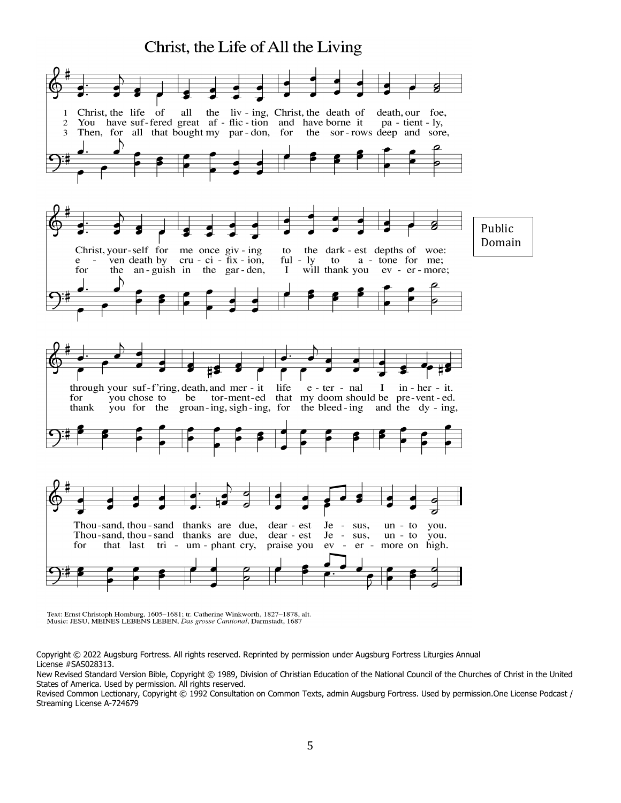

Text: Ernst Christoph Homburg, 1605-1681; tr. Catherine Winkworth, 1827-1878, alt. Music: JESU, MEINES LEBENS LEBEN, *Das grosse Cantional*, Darmstadt, 1687

Copyright © 2022 Augsburg Fortress. All rights reserved. Reprinted by permission under Augsburg Fortress Liturgies Annual License #SAS028313.

New Revised Standard Version Bible, Copyright © 1989, Division of Christian Education of the National Council of the Churches of Christ in the United States of America. Used by permission. All rights reserved.

Revised Common Lectionary, Copyright © 1992 Consultation on Common Texts, admin Augsburg Fortress. Used by permission.One License Podcast / Streaming License A-724679